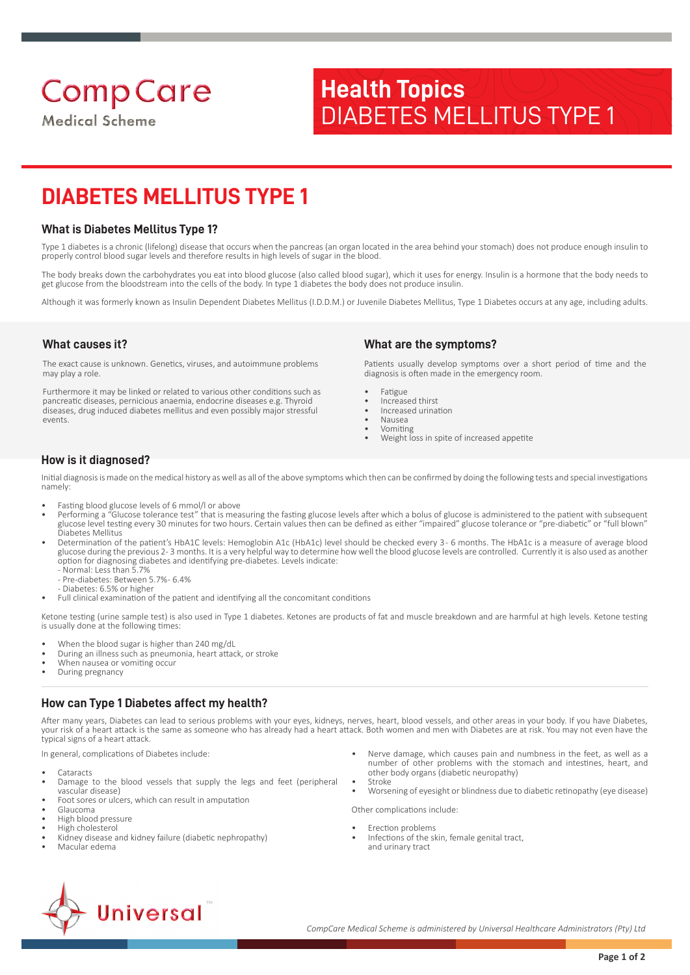# **Medical Scheme**

# **Health Topics** DIABETES MELLITUS TYPE 1

# **DIABETES MELLITUS TYPE 1**

## **What is Diabetes Mellitus Type 1?**

Type 1 diabetes is a chronic (lifelong) disease that occurs when the pancreas (an organ located in the area behind your stomach) does not produce enough insulin to properly control blood sugar levels and therefore results in high levels of sugar in the blood.

The body breaks down the carbohydrates you eat into blood glucose (also called blood sugar), which it uses for energy. Insulin is a hormone that the body needs to get glucose from the bloodstream into the cells of the body. In type 1 diabetes the body does not produce insulin.

Although it was formerly known as Insulin Dependent Diabetes Mellitus (I.D.D.M.) or Juvenile Diabetes Mellitus, Type 1 Diabetes occurs at any age, including adults.

## **What causes it?**

The exact cause is unknown. Genetics, viruses, and autoimmune problems may play a role.

Furthermore it may be linked or related to various other conditions such as pancreatic diseases, pernicious anaemia, endocrine diseases e.g. Thyroid diseases, drug induced diabetes mellitus and even possibly major stressful events.

# **What are the symptoms?**

Patients usually develop symptoms over a short period of time and the diagnosis is often made in the emergency room.

- Fatigue
- Increased thirst
- Increased urination • Nausea
- Vomiting
- Weight loss in spite of increased appetite

## **How is it diagnosed?**

Initial diagnosis is made on the medical history as well as all of the above symptoms which then can be confirmed by doing the following tests and special investigations namely:

- Fasting blood glucose levels of 6 mmol/l or above
- Performing a "Glucose tolerance test" that is measuring the fasting glucose levels after which a bolus of glucose is administered to the patient with subsequent glucose level testing every 30 minutes for two hours. Certain values then can be defined as either "impaired" glucose tolerance or "pre-diabetic" or "full blown" Diabetes Mellitus
- Determination of the patient's HbA1C levels: Hemoglobin A1c (HbA1c) level should be checked every 3 6 months. The HbA1c is a measure of average blood glucose during the previous 2-3 months. It is a very helpful way to determine how well the blood glucose levels are controlled. Currently it is also used as another option for diagnosing diabetes and identifying pre-diabetes. Levels indicate:
	- Normal: Less than 5.7% Pre-diabetes: Between 5.7%- 6.4%
	- Diabetes: 6.5% or higher
- Full clinical examination of the patient and identifying all the concomitant conditions

Ketone testing (urine sample test) is also used in Type 1 diabetes. Ketones are products of fat and muscle breakdown and are harmful at high levels. Ketone testing is usually done at the following times:

- When the blood sugar is higher than 240 mg/dL
- During an illness such as pneumonia, heart attack, or stroke
- When nausea or vomiting occur
- During pregnancy

## **How can Type 1 Diabetes affect my health?**

After many years, Diabetes can lead to serious problems with your eyes, kidneys, nerves, heart, blood vessels, and other areas in your body. If you have Diabetes, your risk of a heart attack is the same as someone who has already had a heart attack. Both women and men with Diabetes are at risk. You may not even have the typical signs of a heart attack.

In general, complications of Diabetes include:

- Cataracts
- Damage to the blood vessels that supply the legs and feet (peripheral vascular disease)
- Foot sores or ulcers, which can result in amputation
- Glaucoma • High blood pressure
- High cholesterol
- Kidney disease and kidney failure (diabetic nephropathy)
- Macular edema
- Nerve damage, which causes pain and numbness in the feet, as well as a number of other problems with the stomach and intestines, heart, and other body organs (diabetic neuropathy)
- Stroke
- Worsening of eyesight or blindness due to diabetic retinopathy (eye disease)
- Other complications include: Erection problems
- Infections of the skin, female genital tract, and urinary tract